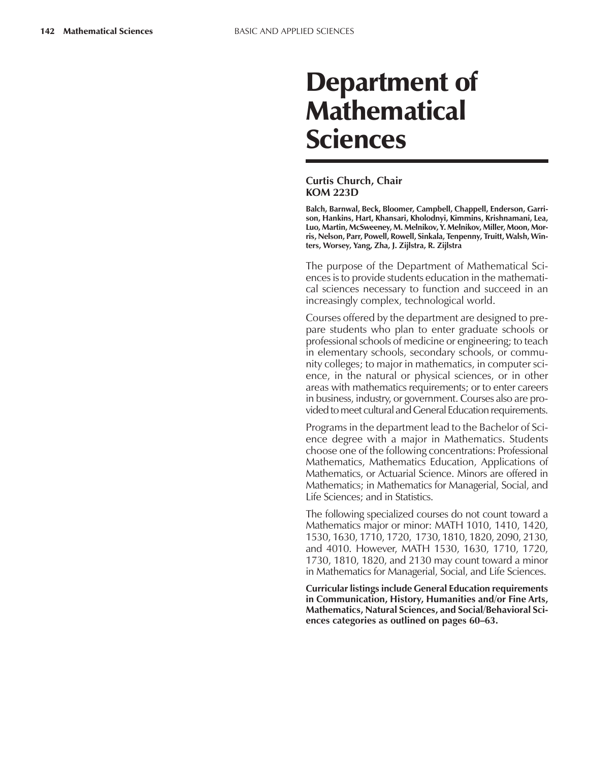# Department of **Mathematical** Sciences

#### **Curtis Church, Chair KOM 223D**

**Balch, Barnwal, Beck, Bloomer, Campbell, Chappell, Enderson, Garrison, Hankins, Hart, Khansari, Kholodnyi, Kimmins, Krishnamani, Lea, Luo, Martin, McSweeney, M. Melnikov, Y. Melnikov, Miller, Moon, Morris, Nelson, Parr, Powell, Rowell, Sinkala, Tenpenny, Truitt, Walsh, Winters, Worsey, Yang, Zha, J. Zijlstra, R. Zijlstra**

The purpose of the Department of Mathematical Sciences is to provide students education in the mathematical sciences necessary to function and succeed in an increasingly complex, technological world.

Courses offered by the department are designed to prepare students who plan to enter graduate schools or professional schools of medicine or engineering; to teach in elementary schools, secondary schools, or community colleges; to major in mathematics, in computer science, in the natural or physical sciences, or in other areas with mathematics requirements; or to enter careers in business, industry, or government. Courses also are provided to meet cultural and General Education requirements.

Programs in the department lead to the Bachelor of Science degree with a major in Mathematics. Students choose one of the following concentrations: Professional Mathematics, Mathematics Education, Applications of Mathematics, or Actuarial Science. Minors are offered in Mathematics; in Mathematics for Managerial, Social, and Life Sciences; and in Statistics.

The following specialized courses do not count toward a Mathematics major or minor: MATH 1010, 1410, 1420, 1530, 1630, 1710, 1720, 1730, 1810, 1820, 2090, 2130, and 4010. However, MATH 1530, 1630, 1710, 1720, 1730, 1810, 1820, and 2130 may count toward a minor in Mathematics for Managerial, Social, and Life Sciences.

**Curricular listings include General Education requirements in Communication, History, Humanities and/or Fine Arts, Mathematics, Natural Sciences, and Social/Behavioral Sci**ences categories as outlined on pages 60–63.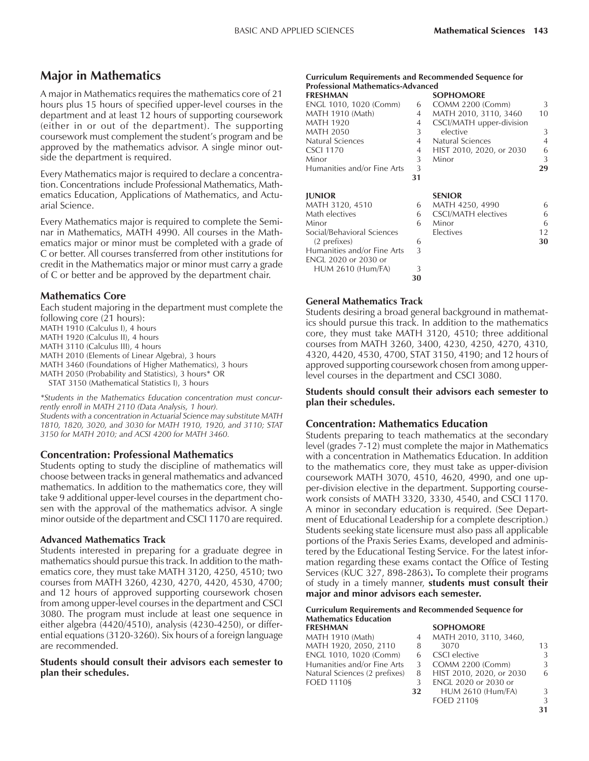## **Major in Mathematics**

A major in Mathematics requires the mathematics core of 21 hours plus 15 hours of specified upper-level courses in the department and at least 12 hours of supporting coursework (either in or out of the department). The supporting coursework must complement the student's program and be approved by the mathematics advisor. A single minor outside the department is required.

Every Mathematics major is required to declare a concentration. Concentrations include Professional Mathematics, Mathematics Education, Applications of Mathematics, and Actuarial Science.

Every Mathematics major is required to complete the Seminar in Mathematics, MATH 4990. All courses in the Mathematics major or minor must be completed with a grade of C or better. All courses transferred from other institutions for credit in the Mathematics major or minor must carry a grade of C or better and be approved by the department chair.

#### **Mathematics Core**

Each student majoring in the department must complete the following core (21 hours):

MATH 1910 (Calculus I), 4 hours

MATH 1920 (Calculus II), 4 hours

MATH 3110 (Calculus III), 4 hours

MATH 2010 (Elements of Linear Algebra), 3 hours

MATH 3460 (Foundations of Higher Mathematics), 3 hours

MATH 2050 (Probability and Statistics), 3 hours\* OR

STAT 3150 (Mathematical Statistics I), 3 hours

*\*Students in the Mathematics Education concentration must concurrently enroll in MATH 2110 (Data Analysis, 1 hour). Students with a concentration in Actuarial Science may substitute MATH 1810, 1820, 3020, and 3030 for MATH 1910, 1920, and 3110; STAT 3150 for MATH 2010; and ACSI 4200 for MATH 3460.*

#### **Concentration: Professional Mathematics**

Students opting to study the discipline of mathematics will choose between tracks in general mathematics and advanced mathematics. In addition to the mathematics core, they will take 9 additional upper-level courses in the department chosen with the approval of the mathematics advisor. A single minor outside of the department and CSCI 1170 are required.

#### **Advanced Mathematics Track**

Students interested in preparing for a graduate degree in mathematics should pursue this track. In addition to the mathematics core, they must take MATH 3120, 4250, 4510; two courses from MATH 3260, 4230, 4270, 4420, 4530, 4700; and 12 hours of approved supporting coursework chosen from among upper-level courses in the department and CSCI 3080. The program must include at least one sequence in either algebra (4420/4510), analysis (4230-4250), or differential equations (3120-3260). Six hours of a foreign language are recommended.

**Students should consult their advisors each semester to plan their schedules.**

| <b>Curriculum Requirements and Recommended Sequence for</b> |  |
|-------------------------------------------------------------|--|
| <b>Professional Mathematics-Advanced</b>                    |  |
|                                                             |  |

| Professional Mathematics-Advanced |    |                            |                |
|-----------------------------------|----|----------------------------|----------------|
| <b>FRESHMAN</b>                   |    | <b>SOPHOMORE</b>           |                |
| ENGL 1010, 1020 (Comm)            | 6  | COMM 2200 (Comm)           | 3              |
| <b>MATH 1910 (Math)</b>           | 4  | MATH 2010, 3110, 3460      | 10             |
| <b>MATH 1920</b>                  | 4  | CSCI/MATH upper-division   |                |
| <b>MATH 2050</b>                  | 3  | elective                   | 3              |
| Natural Sciences                  | 4  | Natural Sciences           | $\overline{4}$ |
| <b>CSCI 1170</b>                  | 4  | HIST 2010, 2020, or 2030   | 6              |
| Minor                             | 3  | Minor                      | 3              |
| Humanities and/or Fine Arts       | 3  |                            | 29             |
|                                   | 31 |                            |                |
| <b>JUNIOR</b>                     |    | <b>SENIOR</b>              |                |
| MATH 3120, 4510                   | 6  | MATH 4250, 4990            | 6              |
| Math electives                    | 6  | <b>CSCI/MATH</b> electives | 6              |
| Minor                             | 6  | Minor                      | 6              |
| Social/Behavioral Sciences        |    | Electives                  | 12             |
| (2 prefixes)                      | 6  |                            | 30             |
| Humanities and/or Fine Arts       | 3  |                            |                |
| ENGL 2020 or 2030 or              |    |                            |                |

#### **General Mathematics Track**

HUM 2610 (Hum/FA) 3

Students desiring a broad general background in mathematics should pursue this track. In addition to the mathematics core, they must take MATH 3120, 4510; three additional courses from MATH 3260, 3400, 4230, 4250, 4270, 4310, 4320, 4420, 4530, 4700, STAT 3150, 4190; and 12 hours of approved supporting coursework chosen from among upperlevel courses in the department and CSCI 3080.

**30**

#### **Students should consult their advisors each semester to plan their schedules.**

### **Concentration: Mathematics Education**

Students preparing to teach mathematics at the secondary level (grades 7-12) must complete the major in Mathematics with a concentration in Mathematics Education. In addition to the mathematics core, they must take as upper-division coursework MATH 3070, 4510, 4620, 4990, and one upper-division elective in the department. Supporting coursework consists of MATH 3320, 3330, 4540, and CSCI 1170. A minor in secondary education is required. (See Department of Educational Leadership for a complete description.) Students seeking state licensure must also pass all applicable portions of the Praxis Series Exams, developed and administered by the Educational Testing Service. For the latest information regarding these exams contact the Office of Testing Services (KUC 327, 898-2863)**.** To complete their programs of study in a timely manner, **students must consult their major and minor advisors each semester.**

#### **Curriculum Requirements and Recommended Sequence for Mathematics Education**

| <b>FRESHMAN</b>               |    | <b>SOPHOMORE</b>         |    |
|-------------------------------|----|--------------------------|----|
| MATH 1910 (Math)              | 4  | MATH 2010, 3110, 3460,   |    |
| MATH 1920, 2050, 2110         | 8  | 3070                     | 13 |
| ENGL 1010, 1020 (Comm)        | 6  | CSCI elective            | 3  |
| Humanities and/or Fine Arts   | 3  | COMM 2200 (Comm)         | 3  |
| Natural Sciences (2 prefixes) | 8  | HIST 2010, 2020, or 2030 | 6  |
| FOED 1110§                    | 3  | ENGL 2020 or 2030 or     |    |
|                               | 32 | <b>HUM 2610 (Hum/FA)</b> | 3  |
|                               |    | $F$ OFD 2110 $S$         | 3  |

**31**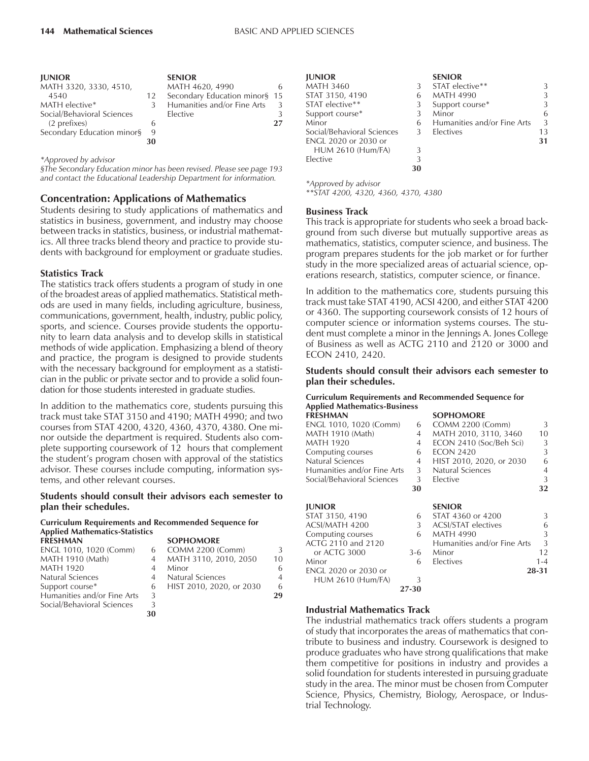| <b>JUNIOR</b>              |    | <b>SENIOR</b>                 |               |
|----------------------------|----|-------------------------------|---------------|
| MATH 3320, 3330, 4510,     |    | MATH 4620, 4990               | 6             |
| 4540                       | 12 | Secondary Education minor§ 15 |               |
| MATH elective*             |    | Humanities and/or Fine Arts   | 3             |
| Social/Behavioral Sciences |    | Elective                      | $\mathcal{L}$ |
| (2 prefixes)               | h  |                               | 27            |
| Secondary Education minor§ | 9  |                               |               |
|                            | 30 |                               |               |

*\*Approved by advisor*

*ßThe Secondary Education minor has been revised. Please see page 193 and contact the Educational Leadership Department for information.*

#### **Concentration: Applications of Mathematics**

Students desiring to study applications of mathematics and statistics in business, government, and industry may choose between tracks in statistics, business, or industrial mathematics. All three tracks blend theory and practice to provide students with background for employment or graduate studies.

#### **Statistics Track**

The statistics track offers students a program of study in one of the broadest areas of applied mathematics. Statistical methods are used in many fields, including agriculture, business, communications, government, health, industry, public policy, sports, and science. Courses provide students the opportunity to learn data analysis and to develop skills in statistical methods of wide application. Emphasizing a blend of theory and practice, the program is designed to provide students with the necessary background for employment as a statistician in the public or private sector and to provide a solid foundation for those students interested in graduate studies.

In addition to the mathematics core, students pursuing this track must take STAT 3150 and 4190; MATH 4990; and two courses from STAT 4200, 4320, 4360, 4370, 4380. One minor outside the department is required. Students also complete supporting coursework of 12 hours that complement the student's program chosen with approval of the statistics advisor. These courses include computing, information systems, and other relevant courses.

#### **Students should consult their advisors each semester to plan their schedules.**

#### **Curriculum Requirements and Recommended Sequence for Applied Mathematics-Statistics FRESHMAN SOPHOMORE**

| <u>LIVE JE LIVEZU V</u>     |    |                          |                |
|-----------------------------|----|--------------------------|----------------|
| ENGL 1010, 1020 (Comm)      | 6  | COMM 2200 (Comm)         | 3              |
| MATH 1910 (Math)            |    | MATH 3110, 2010, 2050    | 10             |
| <b>MATH 1920</b>            |    | Minor                    | 6              |
| Natural Sciences            |    | Natural Sciences         | $\overline{4}$ |
| Support course*             | 6  | HIST 2010, 2020, or 2030 | 6              |
| Humanities and/or Fine Arts | 3  |                          | 29             |
| Social/Behavioral Sciences  |    |                          |                |
|                             | 30 |                          |                |
|                             |    |                          |                |

| <b>JUNIOR</b>               |    | <b>SENIOR</b>               |    |
|-----------------------------|----|-----------------------------|----|
| <b>MATH 3460</b>            | 3  | STAT elective**             | 3  |
| STAT 3150, 4190             | 6  | <b>MATH 4990</b>            | 3  |
| STAT elective**             | 3  | Support course*             | 3  |
| Support course*             | 3  | Minor                       | 6  |
| Minor                       | 6  | Humanities and/or Fine Arts | 3  |
| Social/Behavioral Sciences  | 3  | Electives                   | 13 |
| <b>ENGL 2020 or 2030 or</b> |    |                             | 31 |
| HUM 2610 (Hum/FA)           |    |                             |    |
| Elective                    | 3  |                             |    |
|                             | 30 |                             |    |

*\*Approved by advisor \*\*STAT 4200, 4320, 4360, 4370, 4380*

#### **Business Track**

This track is appropriate for students who seek a broad background from such diverse but mutually supportive areas as mathematics, statistics, computer science, and business. The program prepares students for the job market or for further study in the more specialized areas of actuarial science, operations research, statistics, computer science, or finance.

In addition to the mathematics core, students pursuing this track must take STAT 4190, ACSI 4200, and either STAT 4200 or 4360. The supporting coursework consists of 12 hours of computer science or information systems courses. The student must complete a minor in the Jennings A. Jones College of Business as well as ACTG 2110 and 2120 or 3000 and ECON 2410, 2420.

#### **Students should consult their advisors each semester to plan their schedules.**

#### **Curriculum Requirements and Recommended Sequence for Applied Mathematics-Business**

| <b>FRESHMAN</b>             |       | <b>SOPHOMORE</b>            |         |
|-----------------------------|-------|-----------------------------|---------|
| ENGL 1010, 1020 (Comm)      | 6     | COMM 2200 (Comm)            | 3       |
| MATH 1910 (Math)            | 4     | MATH 2010, 3110, 3460       | 10      |
| <b>MATH 1920</b>            | 4     | ECON 2410 (Soc/Beh Sci)     | 3       |
| Computing courses           | 6     | <b>ECON 2420</b>            | 3       |
| Natural Sciences            | 4     | HIST 2010, 2020, or 2030    | 6       |
| Humanities and/or Fine Arts | 3     | <b>Natural Sciences</b>     | 4       |
| Social/Behavioral Sciences  | 3     | Elective                    | 3       |
|                             | 30    |                             | 32      |
| <b>JUNIOR</b>               |       | <b>SENIOR</b>               |         |
| STAT 3150, 4190             | 6     | STAT 4360 or 4200           | 3       |
| ACSI/MATH 4200              | 3     | <b>ACSI/STAT electives</b>  | 6       |
| Computing courses           | 6     | <b>MATH 4990</b>            | 3       |
| ACTG 2110 and 2120          |       | Humanities and/or Fine Arts | 3       |
| or ACTG 3000                | $3-6$ | Minor                       | 12      |
| Minor                       | 6     | Electives                   | $1 - 4$ |
| ENGL 2020 or 2030 or        |       |                             | 28-31   |
| <b>HUM 2610 (Hum/FA)</b>    | 3     |                             |         |
|                             | 27-30 |                             |         |

#### **Industrial Mathematics Track**

The industrial mathematics track offers students a program of study that incorporates the areas of mathematics that contribute to business and industry. Coursework is designed to produce graduates who have strong qualifications that make them competitive for positions in industry and provides a solid foundation for students interested in pursuing graduate study in the area. The minor must be chosen from Computer Science, Physics, Chemistry, Biology, Aerospace, or Industrial Technology.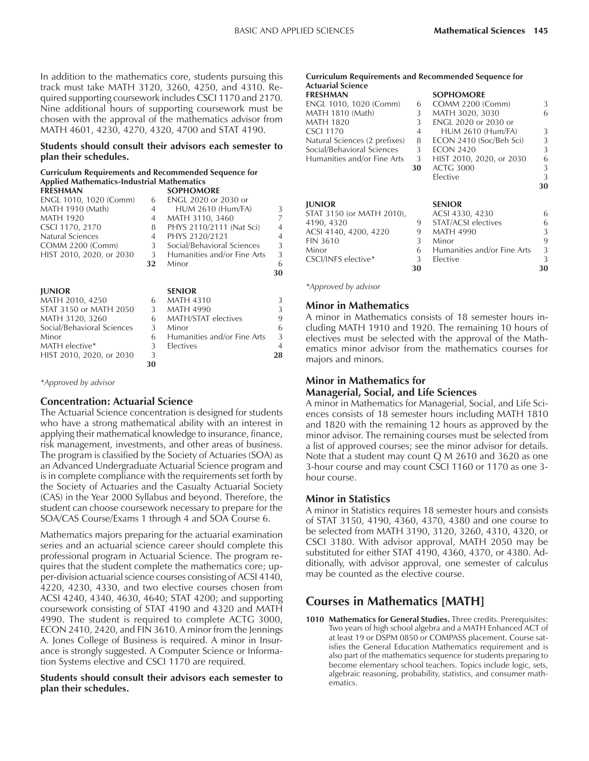In addition to the mathematics core, students pursuing this track must take MATH 3120, 3260, 4250, and 4310. Required supporting coursework includes CSCI 1170 and 2170. Nine additional hours of supporting coursework must be chosen with the approval of the mathematics advisor from MATH 4601, 4230, 4270, 4320, 4700 and STAT 4190.

#### **Students should consult their advisors each semester to plan their schedules.**

#### **Curriculum Requirements and Recommended Sequence for Applied Mathematics-Industrial Mathematics**

|    | <b>SOPHOMORE</b>            |                |
|----|-----------------------------|----------------|
| 6  | <b>ENGL 2020 or 2030 or</b> |                |
| 4  | <b>HUM 2610 (Hum/FA)</b>    | 3              |
| 4  | MATH 3110, 3460             | 7              |
| 8  | PHYS 2110/2111 (Nat Sci)    | $\overline{4}$ |
| 4  | PHYS 2120/2121              | $\overline{4}$ |
| 3  | Social/Behavioral Sciences  | 3              |
| 3  | Humanities and/or Fine Arts | 3              |
| 32 | Minor                       | 6              |
|    |                             | 30             |
|    | <b>SENIOR</b>               |                |
| 6  | MATH 4310                   | 3              |
| 3  | <b>MATH 4990</b>            | 3              |
| 6  | <b>MATH/STAT electives</b>  | 9              |
| 3  | Minor                       | 6              |
| 6  | Humanities and/or Fine Arts | 3              |
| 3  | Electives                   | $\overline{4}$ |
| 3  |                             | 28             |
| 30 |                             |                |
|    |                             |                |

*\*Approved by advisor*

### **Concentration: Actuarial Science**

The Actuarial Science concentration is designed for students who have a strong mathematical ability with an interest in applying their mathematical knowledge to insurance, finance, risk management, investments, and other areas of business. The program is classified by the Society of Actuaries (SOA) as an Advanced Undergraduate Actuarial Science program and is in complete compliance with the requirements set forth by the Society of Actuaries and the Casualty Actuarial Society (CAS) in the Year 2000 Syllabus and beyond. Therefore, the student can choose coursework necessary to prepare for the SOA/CAS Course/Exams 1 through 4 and SOA Course 6.

Mathematics majors preparing for the actuarial examination series and an actuarial science career should complete this professional program in Actuarial Science. The program requires that the student complete the mathematics core; upper-division actuarial science courses consisting of ACSI 4140, 4220, 4230, 4330, and two elective courses chosen from ACSI 4240, 4340, 4630, 4640; STAT 4200; and supporting coursework consisting of STAT 4190 and 4320 and MATH 4990. The student is required to complete ACTG 3000, ECON 2410, 2420, and FIN 3610. A minor from the Jennings A. Jones College of Business is required. A minor in Insurance is strongly suggested. A Computer Science or Information Systems elective and CSCI 1170 are required.

**Students should consult their advisors each semester to plan their schedules.**

## **Curriculum Requirements and Recommended Sequence for**

| Actuarial Science             |    |                             |    |
|-------------------------------|----|-----------------------------|----|
| <b>FRESHMAN</b>               |    | <b>SOPHOMORE</b>            |    |
| ENGL 1010, 1020 (Comm)        | 6  | COMM 2200 (Comm)            | 3  |
| MATH 1810 (Math)              | 3  | MATH 3020, 3030             | 6  |
| MATH 1820                     | 3  | <b>ENGL 2020 or 2030 or</b> |    |
| CSCI 1170                     | 4  | <b>HUM 2610 (Hum/FA)</b>    | 3  |
| Natural Sciences (2 prefixes) | 8  | ECON 2410 (Soc/Beh Sci)     | 3  |
| Social/Behavioral Sciences    | 3  | <b>ECON 2420</b>            | 3  |
| Humanities and/or Fine Arts   | 3  | HIST 2010, 2020, or 2030    | 6  |
|                               | 30 | <b>ACTG 3000</b>            | 3  |
|                               |    | Elective                    | 3  |
|                               |    |                             | 30 |
| <b>JUNIOR</b>                 |    | <b>SENIOR</b>               |    |
| STAT 3150 (or MATH 2010),     |    | ACSI 4330, 4230             | 6  |
| 4190, 4320                    | 9  | STAT/ACSI electives         | 6  |
| ACSI 4140, 4200, 4220         | 9  | <b>MATH 4990</b>            | 3  |
| <b>FIN 3610</b>               | 3  | Minor                       | 9  |
| Minor                         | 6  | Humanities and/or Fine Arts | 3  |
| CSCI/INFS elective*           | 3  | Elective                    | 3  |
|                               | 30 |                             | 30 |

*\*Approved by advisor*

#### **Minor in Mathematics**

A minor in Mathematics consists of 18 semester hours including MATH 1910 and 1920. The remaining 10 hours of electives must be selected with the approval of the Mathematics minor advisor from the mathematics courses for majors and minors.

#### **Minor in Mathematics for Managerial, Social, and Life Sciences**

A minor in Mathematics for Managerial, Social, and Life Sciences consists of 18 semester hours including MATH 1810 and 1820 with the remaining 12 hours as approved by the minor advisor. The remaining courses must be selected from a list of approved courses; see the minor advisor for details. Note that a student may count Q M 2610 and 3620 as one 3-hour course and may count CSCI 1160 or 1170 as one 3 hour course.

### **Minor in Statistics**

A minor in Statistics requires 18 semester hours and consists of STAT 3150, 4190, 4360, 4370, 4380 and one course to be selected from MATH 3190, 3120, 3260, 4310, 4320, or CSCI 3180. With advisor approval, MATH 2050 may be substituted for either STAT 4190, 4360, 4370, or 4380. Additionally, with advisor approval, one semester of calculus may be counted as the elective course.

## **Courses in Mathematics [MATH]**

**1010 Mathematics for General Studies.** Three credits. Prerequisites: Two years of high school algebra and a MATH Enhanced ACT of at least 19 or DSPM 0850 or COMPASS placement. Course satisfies the General Education Mathematics requirement and is also part of the mathematics sequence for students preparing to become elementary school teachers. Topics include logic, sets, algebraic reasoning, probability, statistics, and consumer mathematics.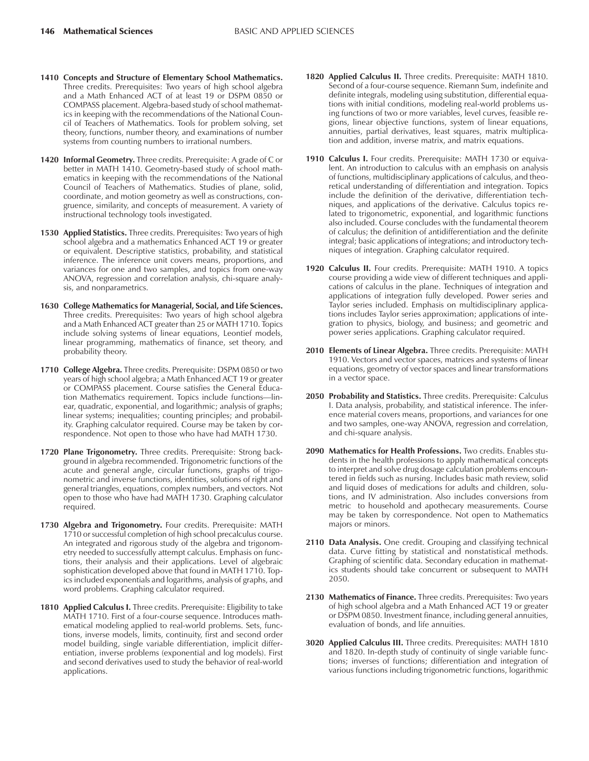- **1410 Concepts and Structure of Elementary School Mathematics.** Three credits. Prerequisites: Two years of high school algebra and a Math Enhanced ACT of at least 19 or DSPM 0850 or COMPASS placement. Algebra-based study of school mathematics in keeping with the recommendations of the National Council of Teachers of Mathematics. Tools for problem solving, set theory, functions, number theory, and examinations of number systems from counting numbers to irrational numbers.
- **1420 Informal Geometry.** Three credits. Prerequisite: A grade of C or better in MATH 1410. Geometry-based study of school mathematics in keeping with the recommendations of the National Council of Teachers of Mathematics. Studies of plane, solid, coordinate, and motion geometry as well as constructions, congruence, similarity, and concepts of measurement. A variety of instructional technology tools investigated.
- **1530 Applied Statistics.** Three credits. Prerequisites: Two years of high school algebra and a mathematics Enhanced ACT 19 or greater or equivalent. Descriptive statistics, probability, and statistical inference. The inference unit covers means, proportions, and variances for one and two samples, and topics from one-way ANOVA, regression and correlation analysis, chi-square analysis, and nonparametrics.
- **1630 College Mathematics for Managerial, Social, and Life Sciences.** Three credits. Prerequisites: Two years of high school algebra and a Math Enhanced ACT greater than 25 or MATH 1710. Topics include solving systems of linear equations, Leontief models, linear programming, mathematics of finance, set theory, and probability theory.
- **1710 College Algebra.** Three credits. Prerequisite: DSPM 0850 or two years of high school algebra; a Math Enhanced ACT 19 or greater or COMPASS placement. Course satisfies the General Education Mathematics requirement. Topics include functions-linear, quadratic, exponential, and logarithmic; analysis of graphs; linear systems; inequalities; counting principles; and probability. Graphing calculator required. Course may be taken by correspondence. Not open to those who have had MATH 1730.
- **1720 Plane Trigonometry.** Three credits. Prerequisite: Strong background in algebra recommended. Trigonometric functions of the acute and general angle, circular functions, graphs of trigonometric and inverse functions, identities, solutions of right and general triangles, equations, complex numbers, and vectors. Not open to those who have had MATH 1730. Graphing calculator required.
- **1730 Algebra and Trigonometry.** Four credits. Prerequisite: MATH 1710 or successful completion of high school precalculus course. An integrated and rigorous study of the algebra and trigonometry needed to successfully attempt calculus. Emphasis on functions, their analysis and their applications. Level of algebraic sophistication developed above that found in MATH 1710. Topics included exponentials and logarithms, analysis of graphs, and word problems. Graphing calculator required.
- 1810 **Applied Calculus I.** Three credits. Prerequisite: Eligibility to take MATH 1710. First of a four-course sequence. Introduces mathematical modeling applied to real-world problems. Sets, functions, inverse models, limits, continuity, first and second order model building, single variable differentiation, implicit differentiation, inverse problems (exponential and log models). First and second derivatives used to study the behavior of real-world applications.
- **1820 Applied Calculus II.** Three credits. Prerequisite: MATH 1810. Second of a four-course sequence. Riemann Sum, indefinite and definite integrals, modeling using substitution, differential equations with initial conditions, modeling real-world problems using functions of two or more variables, level curves, feasible regions, linear objective functions, system of linear equations, annuities, partial derivatives, least squares, matrix multiplication and addition, inverse matrix, and matrix equations.
- **1910 Calculus I.** Four credits. Prerequisite: MATH 1730 or equivalent. An introduction to calculus with an emphasis on analysis of functions, multidisciplinary applications of calculus, and theoretical understanding of differentiation and integration. Topics include the definition of the derivative, differentiation techniques, and applications of the derivative. Calculus topics related to trigonometric, exponential, and logarithmic functions also included. Course concludes with the fundamental theorem of calculus; the definition of antidifferentiation and the definite integral; basic applications of integrations; and introductory techniques of integration. Graphing calculator required.
- **1920 Calculus II.** Four credits. Prerequisite: MATH 1910. A topics course providing a wide view of different techniques and applications of calculus in the plane. Techniques of integration and applications of integration fully developed. Power series and Taylor series included. Emphasis on multidisciplinary applications includes Taylor series approximation; applications of integration to physics, biology, and business; and geometric and power series applications. Graphing calculator required.
- **2010 Elements of Linear Algebra.** Three credits. Prerequisite: MATH 1910. Vectors and vector spaces, matrices and systems of linear equations, geometry of vector spaces and linear transformations in a vector space.
- **2050 Probability and Statistics.** Three credits. Prerequisite: Calculus I. Data analysis, probability, and statistical inference. The inference material covers means, proportions, and variances for one and two samples, one-way ANOVA, regression and correlation, and chi-square analysis.
- **2090 Mathematics for Health Professions.** Two credits. Enables students in the health professions to apply mathematical concepts to interpret and solve drug dosage calculation problems encountered in fields such as nursing. Includes basic math review, solid and liquid doses of medications for adults and children, solutions, and IV administration. Also includes conversions from metric to household and apothecary measurements. Course may be taken by correspondence. Not open to Mathematics majors or minors.
- **2110 Data Analysis.** One credit. Grouping and classifying technical data. Curve fitting by statistical and nonstatistical methods. Graphing of scientific data. Secondary education in mathematics students should take concurrent or subsequent to MATH 2050.
- **2130 Mathematics of Finance.** Three credits. Prerequisites: Two years of high school algebra and a Math Enhanced ACT 19 or greater or DSPM 0850. Investment finance, including general annuities, evaluation of bonds, and life annuities.
- **3020 Applied Calculus III.** Three credits. Prerequisites: MATH 1810 and 1820. In-depth study of continuity of single variable functions; inverses of functions; differentiation and integration of various functions including trigonometric functions, logarithmic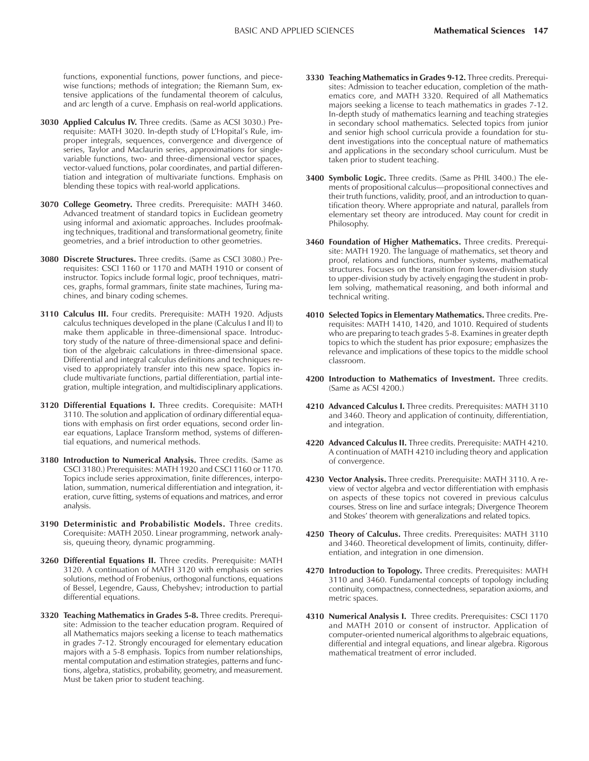functions, exponential functions, power functions, and piecewise functions; methods of integration; the Riemann Sum, extensive applications of the fundamental theorem of calculus, and arc length of a curve. Emphasis on real-world applications.

- **3030 Applied Calculus IV.** Three credits. (Same as ACSI 3030.) Prerequisite: MATH 3020. In-depth study of L'Hopital's Rule, improper integrals, sequences, convergence and divergence of series, Taylor and Maclaurin series, approximations for singlevariable functions, two- and three-dimensional vector spaces, vector-valued functions, polar coordinates, and partial differentiation and integration of multivariate functions. Emphasis on blending these topics with real-world applications.
- **3070 College Geometry.** Three credits. Prerequisite: MATH 3460. Advanced treatment of standard topics in Euclidean geometry using informal and axiomatic approaches. Includes proofmaking techniques, traditional and transformational geometry, finite geometries, and a brief introduction to other geometries.
- **3080 Discrete Structures.** Three credits. (Same as CSCI 3080.) Prerequisites: CSCI 1160 or 1170 and MATH 1910 or consent of instructor. Topics include formal logic, proof techniques, matrices, graphs, formal grammars, finite state machines, Turing machines, and binary coding schemes.
- **3110 Calculus III.** Four credits. Prerequisite: MATH 1920. Adjusts calculus techniques developed in the plane (Calculus I and II) to make them applicable in three-dimensional space. Introductory study of the nature of three-dimensional space and definition of the algebraic calculations in three-dimensional space. Differential and integral calculus definitions and techniques revised to appropriately transfer into this new space. Topics include multivariate functions, partial differentiation, partial integration, multiple integration, and multidisciplinary applications.
- **3120 Differential Equations I.** Three credits. Corequisite: MATH 3110. The solution and application of ordinary differential equations with emphasis on first order equations, second order linear equations, Laplace Transform method, systems of differential equations, and numerical methods.
- **3180 Introduction to Numerical Analysis.** Three credits. (Same as CSCI 3180.) Prerequisites: MATH 1920 and CSCI 1160 or 1170. Topics include series approximation, finite differences, interpolation, summation, numerical differentiation and integration, iteration, curve fitting, systems of equations and matrices, and error analysis.
- **3190 Deterministic and Probabilistic Models.** Three credits. Corequisite: MATH 2050. Linear programming, network analysis, queuing theory, dynamic programming.
- **3260 Differential Equations II.** Three credits. Prerequisite: MATH 3120. A continuation of MATH 3120 with emphasis on series solutions, method of Frobenius, orthogonal functions, equations of Bessel, Legendre, Gauss, Chebyshev; introduction to partial differential equations.
- **3320 Teaching Mathematics in Grades 5-8.** Three credits. Prerequisite: Admission to the teacher education program. Required of all Mathematics majors seeking a license to teach mathematics in grades 7-12. Strongly encouraged for elementary education majors with a 5-8 emphasis. Topics from number relationships, mental computation and estimation strategies, patterns and functions, algebra, statistics, probability, geometry, and measurement. Must be taken prior to student teaching.
- **3330 Teaching Mathematics in Grades 9-12.** Three credits. Prerequisites: Admission to teacher education, completion of the mathematics core, and MATH 3320. Required of all Mathematics majors seeking a license to teach mathematics in grades 7-12. In-depth study of mathematics learning and teaching strategies in secondary school mathematics. Selected topics from junior and senior high school curricula provide a foundation for student investigations into the conceptual nature of mathematics and applications in the secondary school curriculum. Must be taken prior to student teaching.
- **3400 Symbolic Logic.** Three credits. (Same as PHIL 3400.) The elements of propositional calculus-propositional connectives and their truth functions, validity, proof, and an introduction to quantification theory. Where appropriate and natural, parallels from elementary set theory are introduced. May count for credit in Philosophy.
- **3460 Foundation of Higher Mathematics.** Three credits. Prerequisite: MATH 1920. The language of mathematics, set theory and proof, relations and functions, number systems, mathematical structures. Focuses on the transition from lower-division study to upper-division study by actively engaging the student in problem solving, mathematical reasoning, and both informal and technical writing.
- **4010 Selected Topics in Elementary Mathematics.** Three credits. Prerequisites: MATH 1410, 1420, and 1010. Required of students who are preparing to teach grades 5-8. Examines in greater depth topics to which the student has prior exposure; emphasizes the relevance and implications of these topics to the middle school classroom.
- **4200 Introduction to Mathematics of Investment.** Three credits. (Same as ACSI 4200.)
- **4210 Advanced Calculus I.** Three credits. Prerequisites: MATH 3110 and 3460. Theory and application of continuity, differentiation, and integration.
- **4220 Advanced Calculus II.** Three credits. Prerequisite: MATH 4210. A continuation of MATH 4210 including theory and application of convergence.
- **4230 Vector Analysis.** Three credits. Prerequisite: MATH 3110. A review of vector algebra and vector differentiation with emphasis on aspects of these topics not covered in previous calculus courses. Stress on line and surface integrals; Divergence Theorem and Stokes' theorem with generalizations and related topics.
- **4250 Theory of Calculus.** Three credits. Prerequisites: MATH 3110 and 3460. Theoretical development of limits, continuity, differentiation, and integration in one dimension.
- **4270 Introduction to Topology.** Three credits. Prerequisites: MATH 3110 and 3460. Fundamental concepts of topology including continuity, compactness, connectedness, separation axioms, and metric spaces.
- **4310 Numerical Analysis I.** Three credits. Prerequisites: CSCI 1170 and MATH 2010 or consent of instructor. Application of computer-oriented numerical algorithms to algebraic equations, differential and integral equations, and linear algebra. Rigorous mathematical treatment of error included.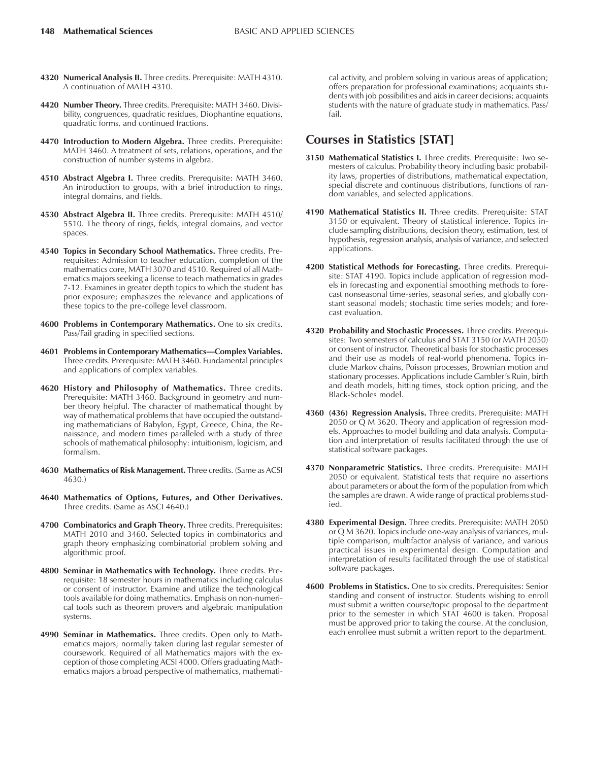- **4320 Numerical Analysis II.** Three credits. Prerequisite: MATH 4310. A continuation of MATH 4310.
- **4420 Number Theory.** Three credits. Prerequisite: MATH 3460. Divisibility, congruences, quadratic residues, Diophantine equations, quadratic forms, and continued fractions.
- **4470 Introduction to Modern Algebra.** Three credits. Prerequisite: MATH 3460. A treatment of sets, relations, operations, and the construction of number systems in algebra.
- **4510 Abstract Algebra I.** Three credits. Prerequisite: MATH 3460. An introduction to groups, with a brief introduction to rings, integral domains, and fields.
- **4530 Abstract Algebra II.** Three credits. Prerequisite: MATH 4510/ 5510. The theory of rings, fields, integral domains, and vector spaces.
- **4540 Topics in Secondary School Mathematics.** Three credits. Prerequisites: Admission to teacher education, completion of the mathematics core, MATH 3070 and 4510. Required of all Mathematics majors seeking a license to teach mathematics in grades 7-12. Examines in greater depth topics to which the student has prior exposure; emphasizes the relevance and applications of these topics to the pre-college level classroom.
- **4600 Problems in Contemporary Mathematics.** One to six credits. Pass/Fail grading in specified sections.
- **4601 Problems in Contemporary Mathematics-Complex Variables.** Three credits. Prerequisite: MATH 3460. Fundamental principles and applications of complex variables.
- **4620 History and Philosophy of Mathematics.** Three credits. Prerequisite: MATH 3460. Background in geometry and number theory helpful. The character of mathematical thought by way of mathematical problems that have occupied the outstanding mathematicians of Babylon, Egypt, Greece, China, the Renaissance, and modern times paralleled with a study of three schools of mathematical philosophy: intuitionism, logicism, and formalism.
- **4630 Mathematics of Risk Management.** Three credits. (Same as ACSI 4630.)
- **4640 Mathematics of Options, Futures, and Other Derivatives.** Three credits. (Same as ASCI 4640.)
- **4700 Combinatorics and Graph Theory.** Three credits. Prerequisites: MATH 2010 and 3460. Selected topics in combinatorics and graph theory emphasizing combinatorial problem solving and algorithmic proof.
- **4800 Seminar in Mathematics with Technology.** Three credits. Prerequisite: 18 semester hours in mathematics including calculus or consent of instructor. Examine and utilize the technological tools available for doing mathematics. Emphasis on non-numerical tools such as theorem provers and algebraic manipulation systems.
- **4990 Seminar in Mathematics.** Three credits. Open only to Mathematics majors; normally taken during last regular semester of coursework. Required of all Mathematics majors with the exception of those completing ACSI 4000. Offers graduating Mathematics majors a broad perspective of mathematics, mathemati-

cal activity, and problem solving in various areas of application; offers preparation for professional examinations; acquaints students with job possibilities and aids in career decisions; acquaints students with the nature of graduate study in mathematics. Pass/ fail.

## **Courses in Statistics [STAT]**

- **3150 Mathematical Statistics I.** Three credits. Prerequisite: Two semesters of calculus. Probability theory including basic probability laws, properties of distributions, mathematical expectation, special discrete and continuous distributions, functions of random variables, and selected applications.
- **4190 Mathematical Statistics II.** Three credits. Prerequisite: STAT 3150 or equivalent. Theory of statistical inference. Topics include sampling distributions, decision theory, estimation, test of hypothesis, regression analysis, analysis of variance, and selected applications.
- **4200 Statistical Methods for Forecasting.** Three credits. Prerequisite: STAT 4190. Topics include application of regression models in forecasting and exponential smoothing methods to forecast nonseasonal time-series, seasonal series, and globally constant seasonal models; stochastic time series models; and forecast evaluation.
- **4320 Probability and Stochastic Processes.** Three credits. Prerequisites: Two semesters of calculus and STAT 3150 (or MATH 2050) or consent of instructor. Theoretical basis for stochastic processes and their use as models of real-world phenomena. Topics include Markov chains, Poisson processes, Brownian motion and stationary processes. Applications include Gambler's Ruin, birth and death models, hitting times, stock option pricing, and the Black-Scholes model.
- **4360 (436) Regression Analysis.** Three credits. Prerequisite: MATH 2050 or Q M 3620. Theory and application of regression models. Approaches to model building and data analysis. Computation and interpretation of results facilitated through the use of statistical software packages.
- **4370 Nonparametric Statistics.** Three credits. Prerequisite: MATH 2050 or equivalent. Statistical tests that require no assertions about parameters or about the form of the population from which the samples are drawn. A wide range of practical problems studied.
- **4380 Experimental Design.** Three credits. Prerequisite: MATH 2050 or Q M 3620. Topics include one-way analysis of variances, multiple comparison, multifactor analysis of variance, and various practical issues in experimental design. Computation and interpretation of results facilitated through the use of statistical software packages.
- **4600 Problems in Statistics.** One to six credits. Prerequisites: Senior standing and consent of instructor. Students wishing to enroll must submit a written course/topic proposal to the department prior to the semester in which STAT 4600 is taken. Proposal must be approved prior to taking the course. At the conclusion, each enrollee must submit a written report to the department.